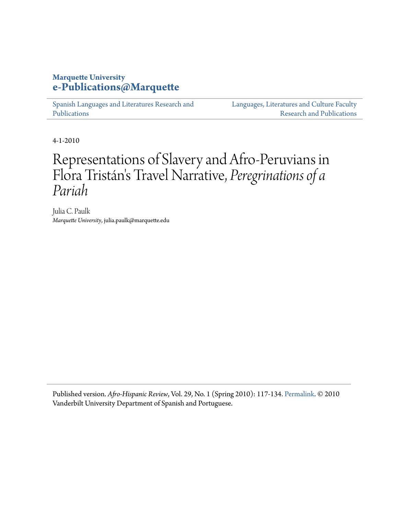### **Marquette University [e-Publications@Marquette](https://epublications.marquette.edu)**

[Spanish Languages and Literatures Research and](https://epublications.marquette.edu/span_fac) [Publications](https://epublications.marquette.edu/span_fac)

[Languages, Literatures and Culture Faculty](https://epublications.marquette.edu/fola_fac) [Research and Publications](https://epublications.marquette.edu/fola_fac)

4-1-2010

# Representations of Slavery and Afro-Peruvians in Flora Tristán 's Travel Narrative, *Peregrinations of a Pariah*

Julia C. Paulk *Marquette University*, julia.paulk@marquette.edu

Published version. *Afro-Hispanic Review*, Vol. 29, No. 1 (Spring 2010): 117-134. [Permalink.](http://www.afrohispanicreview.com/2010/08/vol-29-number-1-spring-2010.html) © 2010 Vanderbilt University Department of Spanish and Portuguese.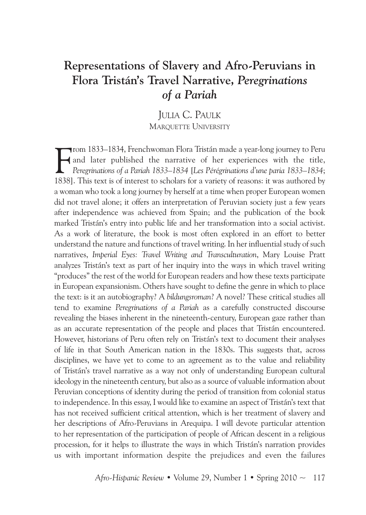## **Representations of Slavery and Afro-Peruvians in Flora Tristán's Travel Narrative,** *Peregrinations of a Pariah*

JuLIA C. PAuLk MARQUETTE UNIVERSITY

F rom 1833–1834, Frenchwoman Flora Tristán made a year-long journey to Peru and later published the narrative of her experiences with the title, *Peregrinations of a Pariah 1833–1834* [*Les Pérégrinations d'une paria 1833–1834*; 1838]. This text is of interest to scholars for a variety of reasons: it was authored by a woman who took a long journey by herself at a time when proper European women did not travel alone; it offers an interpretation of Peruvian society just a few years after independence was achieved from Spain; and the publication of the book marked Tristán's entry into public life and her transformation into a social activist. As a work of literature, the book is most often explored in an effort to better understand the nature and functions of travel writing. In her influential study of such narratives, *Imperial Eyes: Travel Writing and Transculturation*, Mary Louise Pratt analyzes Tristán's text as part of her inquiry into the ways in which travel writing "produces"the rest of the world for European readers and how these texts participate in European expansionism. Others have sought to define the genre in which to place the text: is it an autobiography? A *bildungsroman*? A novel? These critical studies all tend to examine *Peregrinations of a Pariah* as a carefully constructed discourse revealing the biases inherent in the nineteenth-century, European gaze rather than as an accurate representation of the people and places that Tristán encountered. However, historians of Peru often rely on Tristán's text to document their analyses of life in that South American nation in the 1830s. This suggests that, across disciplines, we have yet to come to an agreement as to the value and reliability of Tristán's travel narrative as a way not only of understanding European cultural ideology in the nineteenth century, but also as a source of valuable information about Peruvian conceptions of identity during the period of transition from colonial status to independence. In this essay, I would like to examine an aspect of Tristán's text that has not received sufficient critical attention, which is her treatment of slavery and her descriptions of Afro-Peruvians in Arequipa. I will devote particular attention to her representation of the participation of people of African descent in a religious procession, for it helps to illustrate the ways in which Tristán's narration provides us with important information despite the prejudices and even the failures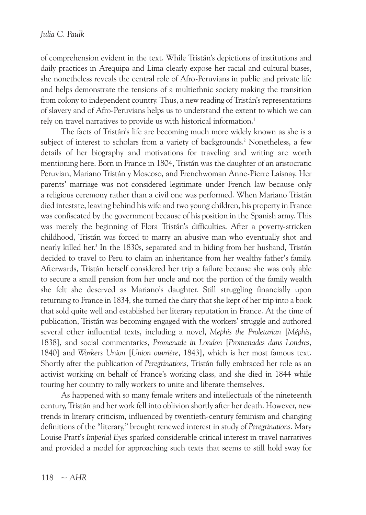of comprehension evident in the text. While Tristán's depictions of institutions and daily practices in Arequipa and Lima clearly expose her racial and cultural biases, she nonetheless reveals the central role of Afro-Peruvians in public and private life and helps demonstrate the tensions of a multiethnic society making the transition from colony to independent country. Thus, a new reading of Tristán's representations of slavery and of Afro-Peruvians helps us to understand the extent to which we can rely on travel narratives to provide us with historical information. 1

The facts of Tristán's life are becoming much more widely known as she is a subject of interest to scholars from a variety of backgrounds. <sup>2</sup> Nonetheless, a few details of her biography and motivations for traveling and writing are worth mentioning here. Born in France in 1804, Tristán was the daughter of an aristocratic Peruvian, Mariano Tristán y Moscoso, and Frenchwoman Anne-Pierre Laisnay. Her parents' marriage was not considered legitimate under French law because only a religious ceremony rather than a civil one was performed. When Mariano Tristán died intestate, leaving behind his wife and two young children, his property in France was confiscated by the government because of his position in the Spanish army. This was merely the beginning of Flora Tristán's difficulties. After a poverty-stricken childhood, Tristán was forced to marry an abusive man who eventually shot and nearly killed her. <sup>3</sup> In the 1830s, separated and in hiding from her husband, Tristán decided to travel to Peru to claim an inheritance from her wealthy father's family. Afterwards, Tristán herself considered her trip a failure because she was only able to secure a small pension from her uncle and not the portion of the family wealth she felt she deserved as Mariano's daughter. Still struggling financially upon returning to France in 1834, she turned the diary that she kept of her trip into a book that sold quite well and established her literary reputation in France. At the time of publication, Tristán was becoming engaged with the workers' struggle and authored several other influential texts, including a novel, *Mephis the Proletarian* [*Méphis*, 1838], and social commentaries, *Promenade in London* [*Promenades dans Londres*, 1840] and *Workers Union* [*Union ouvrière*, 1843], which is her most famous text. Shortly after the publication of *Peregrinations*, Tristán fully embraced her role as an activist working on behalf of France's working class, and she died in 1844 while touring her country to rally workers to unite and liberate themselves.

As happened with so many female writers and intellectuals of the nineteenth century, Tristán and her work fell into oblivion shortly after her death. However, new trends in literary criticism, influenced by twentieth-century feminism and changing definitions of the "literary," brought renewed interest in study of *Peregrinations*. Mary Louise Pratt's *Imperial Eyes* sparked considerable critical interest in travel narratives and provided a model for approaching such texts that seems to still hold sway for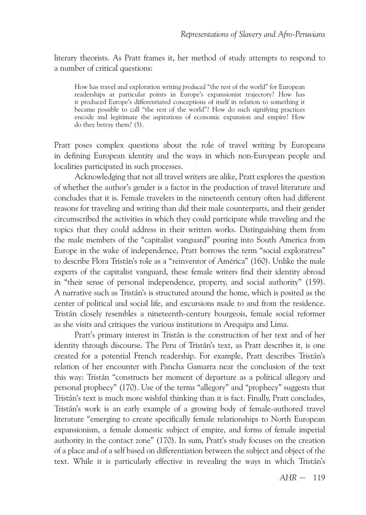literary theorists. As Pratt frames it, her method of study attempts to respond to a number of critical questions:

How has travel and exploration writing *produced* "the rest of the world" for European readerships at particular points in Europe's expansionist trajectory? How has it produced Europe's differentiated conceptions of itself in relation to something it became possible to call "the rest of the world"? How do such signifying practices encode and legitimate the aspirations of economic expansion and empire? How do they betray them? (5).

Pratt poses complex questions about the role of travel writing by Europeans in defining European identity and the ways in which non-European people and localities participated in such processes.

Acknowledging that not all travel writers are alike, Pratt explores the question of whether the author's gender is a factor in the production of travel literature and concludes that it is. Female travelers in the nineteenth century often had different reasons for traveling and writing than did their male counterparts, and their gender circumscribed the activities in which they could participate while traveling and the topics that they could address in their written works. Distinguishing them from the male members of the "capitalist vanguard" pouring into South America from Europe in the wake of independence, Pratt borrows the term "social exploratress" to describe Flora Tristán's role as a "reinventor of América" (160). Unlike the male experts of the capitalist vanguard, these female writers find their identity abroad in "their sense of personal independence, property, and social authority" (159). A narrative such as Tristán's is structured around the home, which is posited as the center of political and social life, and excursions made to and from the residence. Tristán closely resembles a nineteenth-century bourgeois, female social reformer as she visits and critiques the various institutions in Arequipa and Lima.

Pratt's primary interest in Tristán is the construction of her text and of her identity through discourse. The Peru of Tristán's text, as Pratt describes it, is one created for a potential French readership. For example, Pratt describes Tristán's relation of her encounter with Pancha Gamarra near the conclusion of the text this way: Tristán "constructs her moment of departure as a political allegory and personal prophecy" (170). Use of the terms "allegory" and "prophecy" suggests that Tristán's text is much more wishful thinking than it is fact. Finally, Pratt concludes, Tristán's work is an early example of a growing body of female-authored travel literature "emerging to create specifically female relationships to North European expansionism, a female domestic subject of empire, and forms of female imperial authority in the contact zone" (170). In sum, Pratt's study focuses on the creation of a place and of a self based on differentiation between the subject and object of the text. While it is particularly effective in revealing the ways in which Tristán's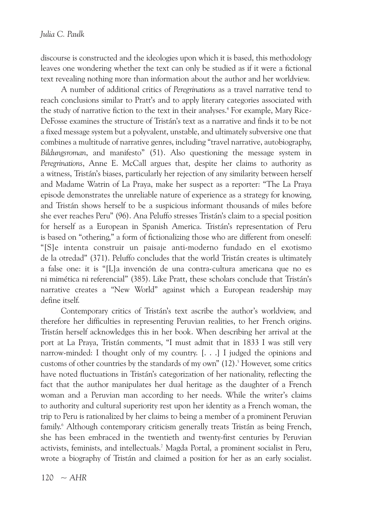discourse is constructed and the ideologies upon which it is based, this methodology leaves one wondering whether the text can only be studied as if it were a fictional text revealing nothing more than information about the author and her worldview.

A number of additional critics of *Peregrinations* as a travel narrative tend to reach conclusions similar to Pratt's and to apply literary categories associated with the study of narrative fiction to the text in their analyses.<sup>4</sup> For example, Mary Rice-DeFosse examines the structure of Tristán's text as a narrative and finds it to be not a fixed message system but a polyvalent, unstable, and ultimately subversive one that combines a multitude of narrative genres, including "travel narrative, autobiography, *Bildungsroman*, and manifesto" (51). Also questioning the message system in *Peregrinations*, Anne E. McCall argues that, despite her claims to authority as a witness, Tristán's biases, particularly her rejection of any similarity between herself and Madame Watrin of La Praya, make her suspect as a reporter: "The La Praya episode demonstrates the unreliable nature of experience as a strategy for knowing, and Tristán shows herself to be a suspicious informant thousands of miles before she ever reaches Peru" (96). Ana Peluffo stresses Tristán's claim to a special position for herself as a European in Spanish America. Tristán's representation of Peru is based on "othering," a form of fictionalizing those who are different from oneself: "[S]e intenta construir un paisaje anti-moderno fundado en el exotismo de la otredad" (371). Peluffo concludes that the world Tristán creates is ultimately a false one: it is "[L]a invención de una contra-cultura americana que no es ni mimética ni referencial" (385). Like Pratt, these scholars conclude that Tristán's narrative creates a "New World" against which a European readership may define itself.

Contemporary critics of Tristán's text ascribe the author's worldview, and therefore her difficulties in representing Peruvian realities, to her French origins. Tristán herself acknowledges this in her book. When describing her arrival at the port at La Praya, Tristán comments, "I must admit that in 1833 I was still very narrow-minded: I thought only of my country. [. . .] I judged the opinions and customs of other countries by the standards of my own" (12). <sup>5</sup> However, some critics have noted fluctuations in Tristán's categorization of her nationality, reflecting the fact that the author manipulates her dual heritage as the daughter of a French woman and a Peruvian man according to her needs. While the writer's claims to authority and cultural superiority rest upon her identity as a French woman, the trip to Peru is rationalized by her claims to being a member of a prominent Peruvian family. <sup>6</sup> Although contemporary criticism generally treats Tristán as being French, she has been embraced in the twentieth and twenty-first centuries by Peruvian activists, feminists, and intellectuals. <sup>7</sup> Magda Portal, a prominent socialist in Peru, wrote a biography of Tristán and claimed a position for her as an early socialist.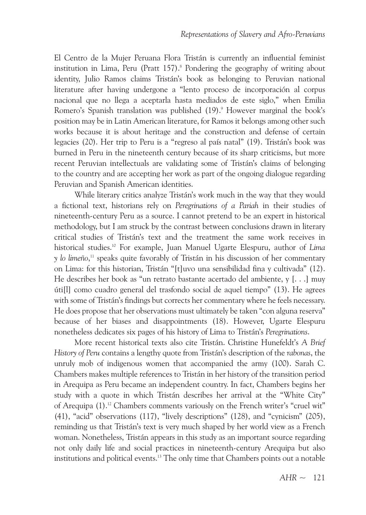El Centro de la Mujer Peruana Flora Tristán is currently an influential feminist institution in Lima, Peru (Pratt 157). <sup>8</sup> Pondering the geography of writing about identity, Julio Ramos claims Tristán's book as belonging to Peruvian national literature after having undergone a "lento proceso de incorporación al corpus nacional que no llega a aceptarla hasta mediados de este siglo," when Emilia Romero's Spanish translation was published (19).<sup>9</sup> However marginal the book's position may be in Latin American literature, for Ramos it belongs among other such works because it is about heritage and the construction and defense of certain legacies (20). Her trip to Peru is a "regreso al país natal" (19). Tristán's book was burned in Peru in the nineteenth century because of its sharp criticisms, but more recent Peruvian intellectuals are validating some of Tristán's claims of belonging to the country and are accepting her work as part of the ongoing dialogue regarding Peruvian and Spanish American identities.

While literary critics analyze Tristán's work much in the way that they would a fictional text, historians rely on *Peregrinations of a Pariah* in their studies of nineteenth-century Peru as a source. I cannot pretend to be an expert in historical methodology, but I am struck by the contrast between conclusions drawn in literary critical studies of Tristán's text and the treatment the same work receives in historical studies. <sup>10</sup> For example, Juan Manuel ugarte Elespuru, author of *Lima y lo limeño*, <sup>11</sup> speaks quite favorably of Tristán in his discussion of her commentary on Lima: for this historian, Tristán "[t]uvo una sensibilidad fina y cultivada" (12). He describes her book as "un retrato bastante acertado del ambiente, y [. . .] muy úti[l] como cuadro general del trasfondo social de aquel tiempo" (13). He agrees with some of Tristán's findings but corrects her commentary where he feels necessary. He does propose that her observations must ultimately be taken "con alguna reserva" because of her biases and disappointments (18). However, Ugarte Elespuru nonetheless dedicates six pages of his history of Lima to Tristán's *Peregrinations*.

More recent historical texts also cite Tristán. Christine Hunefeldt's *A Brief History of Peru* contains a lengthy quote from Tristán's description of the *rabonas*, the unruly mob of indigenous women that accompanied the army (100). Sarah C. Chambers makes multiple references to Tristán in her history of the transition period in Arequipa as Peru became an independent country. In fact, Chambers begins her study with a quote in which Tristán describes her arrival at the "White City" of Arequipa (1). <sup>12</sup> Chambers comments variously on the French writer's "cruel wit" (41), "acid" observations (117), "lively descriptions" (128), and "cynicism" (205), reminding us that Tristán's text is very much shaped by her world view as a French woman. Nonetheless, Tristán appears in this study as an important source regarding not only daily life and social practices in nineteenth-century Arequipa but also institutions and political events. <sup>13</sup> The only time that Chambers points out a notable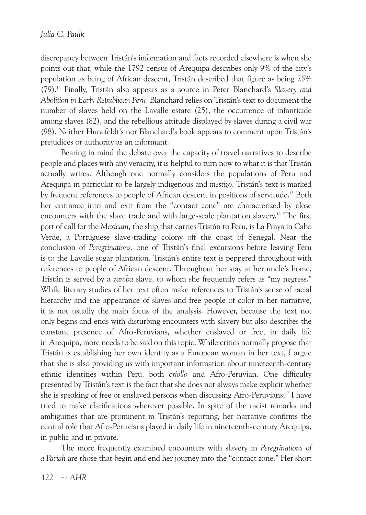discrepancy between Tristán's information and facts recorded elsewhere is when she points out that, while the 1792 census of Arequipa describes only 9% of the city's population as being of African descent, Tristán described that figure as being 25% (79). <sup>14</sup> Finally, Tristán also appears as a source in Peter Blanchard's *Slavery and Abolition in Early Republican Peru*. Blanchard relies on Tristán's text to document the number of slaves held on the Lavalle estate (25), the occurrence of infanticide among slaves (82), and the rebellious attitude displayed by slaves during a civil war (98). Neither Hunefeldt's nor Blanchard's book appears to comment upon Tristán's prejudices or authority as an informant.

Bearing in mind the debate over the capacity of travel narratives to describe people and places with any veracity, it is helpful to turn now to what it is that Tristán actually writes. Although one normally considers the populations of Peru and Arequipa in particular to be largely indigenous and *mestizo*, Tristán's text is marked by frequent references to people of African descent in positions of servitude. <sup>15</sup> Both her entrance into and exit from the "contact zone" are characterized by close encounters with the slave trade and with large-scale plantation slavery. <sup>16</sup> The first port of call for the *Mexicain*, the ship that carries Tristán to Peru, is La Praya in Cabo Verde, a Portuguese slave-trading colony off the coast of Senegal. Near the conclusion of *Peregrinations*, one of Tristán's final excursions before leaving Peru is to the Lavalle sugar plantation. Tristán's entire text is peppered throughout with references to people of African descent. Throughout her stay at her uncle's home, Tristán is served by a *zamba* slave, to whom she frequently refers as "my negress." While literary studies of her text often make references to Tristán's sense of racial hierarchy and the appearance of slaves and free people of color in her narrative, it is not usually the main focus of the analysis. However, because the text not only begins and ends with disturbing encounters with slavery but also describes the constant presence of Afro-Peruvians, whether enslaved or free, in daily life in Arequipa, more needs to be said on this topic. While critics normally propose that Tristán is establishing her own identity as a European woman in her text, I argue that she is also providing us with important information about nineteenth-century ethnic identities within Peru, both *criollo* and Afro-Peruvian. One difficulty presented by Tristán's text is the fact that she does not always make explicit whether she is speaking of free or enslaved persons when discussing Afro-Peruvians; <sup>17</sup> I have tried to make clarifications wherever possible. In spite of the racist remarks and ambiguities that are prominent in Tristán's reporting, her narrative confirms the central role that Afro-Peruvians played in daily life in nineteenth-century Arequipa, in public and in private.

The more frequently examined encounters with slavery in *Peregrinations of a Pariah* are those that begin and end her journey into the "contact zone." Her short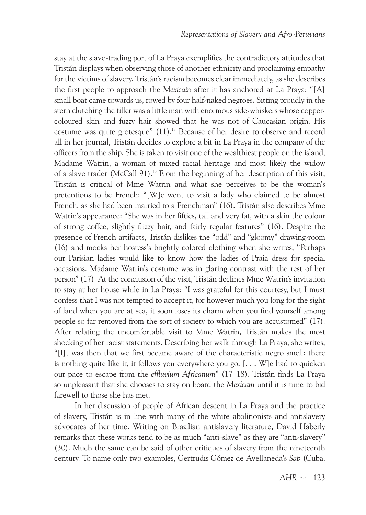stay at the slave-trading port of La Praya exemplifies the contradictory attitudes that Tristán displays when observing those of another ethnicity and proclaiming empathy for the victims of slavery. Tristán's racism becomes clear immediately, as she describes the first people to approach the *Mexicain* after it has anchored at La Praya: "[A] small boat came towards us, rowed by four half-naked negroes. Sitting proudly in the stern clutching the tiller was a little man with enormous side-whiskers whose coppercoloured skin and fuzzy hair showed that he was not of Caucasian origin. His costume was quite grotesque" (11). <sup>18</sup> Because of her desire to observe and record all in her journal, Tristán decides to explore a bit in La Praya in the company of the officers from the ship. She is taken to visit one of the wealthiest people on the island, Madame Watrin, a woman of mixed racial heritage and most likely the widow of a slave trader (McCall 91). <sup>19</sup> From the beginning of her description of this visit, Tristán is critical of Mme Watrin and what she perceives to be the woman's pretentions to be French: "[W]e went to visit a lady who claimed to be almost French, as she had been married to a Frenchman" (16). Tristán also describes Mme Watrin's appearance: "She was in her fifties, tall and very fat, with a skin the colour of strong coffee, slightly frizzy hair, and fairly regular features" (16). Despite the presence of French artifacts, Tristán dislikes the "odd" and "gloomy" drawing-room (16) and mocks her hostess's brightly colored clothing when she writes, "Perhaps our Parisian ladies would like to know how the ladies of Praia dress for special occasions. Madame Watrin's costume was in glaring contrast with the rest of her person" (17). At the conclusion of the visit, Tristán declines Mme Watrin's invitation to stay at her house while in La Praya: "I was grateful for this courtesy, but I must confess that I was not tempted to accept it, for however much you long for the sight of land when you are at sea, it soon loses its charm when you find yourself among people so far removed from the sort of society to which you are accustomed" (17). After relating the uncomfortable visit to Mme Watrin, Tristán makes the most shocking of her racist statements. Describing her walk through La Praya, she writes, "[I]t was then that we first became aware of the characteristic negro smell: there is nothing quite like it, it follows you everywhere you go. [. . . W]e had to quicken our pace to escape from the *effluvium Africanum*" (17–18). Tristán finds La Praya so unpleasant that she chooses to stay on board the *Mexicain* until it is time to bid farewell to those she has met.

In her discussion of people of African descent in La Praya and the practice of slavery, Tristán is in line with many of the white abolitionists and antislavery advocates of her time. Writing on Brazilian antislavery literature, David Haberly remarks that these works tend to be as much "anti-slave" as they are "anti-slavery" (30). Much the same can be said of other critiques of slavery from the nineteenth century. To name only two examples, Gertrudis Gómez de Avellaneda's *Sab* (Cuba,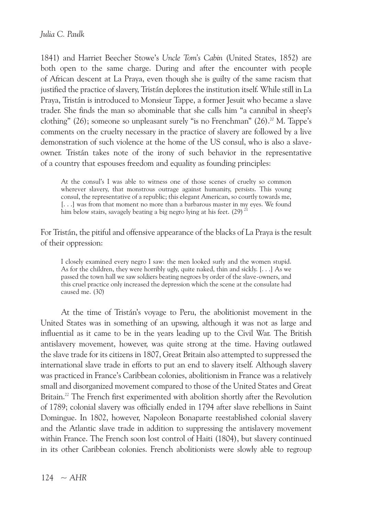1841) and Harriet Beecher Stowe's Uncle *Tom's Cabin* (United States, 1852) are both open to the same charge. During and after the encounter with people of African descent at La Praya, even though she is guilty of the same racism that justified the practice of slavery, Tristán deplores the institution itself. While still in La Praya, Tristán is introduced to Monsieur Tappe, a former Jesuit who became a slave trader. She finds the man so abominable that she calls him "a cannibal in sheep's clothing" (26); someone so unpleasant surely "is no Frenchman" (26). <sup>20</sup> M. Tappe's comments on the cruelty necessary in the practice of slavery are followed by a live demonstration of such violence at the home of the US consul, who is also a slaveowner. Tristán takes note of the irony of such behavior in the representative of a country that espouses freedom and equality as founding principles:

At the consul's I was able to witness one of those scenes of cruelty so common wherever slavery, that monstrous outrage against humanity, persists. This young consul, the representative of a republic; this elegant American, so courtly towards me, [...] was from that moment no more than a barbarous master in my eyes. We found him below stairs, savagely beating a big negro lying at his feet.  $(29)^{21}$ 

For Tristán, the pitiful and offensive appearance of the blacks of La Praya is the result of their oppression:

I closely examined every negro I saw: the men looked surly and the women stupid. As for the children, they were horribly ugly, quite naked, thin and sickly.  $[\ldots]$  As we passed the town hall we saw soldiers beating negroes by order of the slave-owners, and this cruel practice only increased the depression which the scene at the consulate had caused me. (30)

At the time of Tristán's voyage to Peru, the abolitionist movement in the United States was in something of an upswing, although it was not as large and influential as it came to be in the years leading up to the Civil War. The British antislavery movement, however, was quite strong at the time. Having outlawed the slave trade for its citizens in 1807, Great Britain also attempted to suppressed the international slave trade in efforts to put an end to slavery itself. Although slavery was practiced in France's Caribbean colonies, abolitionism in France was a relatively small and disorganized movement compared to those of the United States and Great Britain.<sup>22</sup> The French first experimented with abolition shortly after the Revolution of 1789; colonial slavery was officially ended in 1794 after slave rebellions in Saint Domingue. In 1802, however, Napoleon Bonaparte reestablished colonial slavery and the Atlantic slave trade in addition to suppressing the antislavery movement within France. The French soon lost control of Haiti (1804), but slavery continued in its other Caribbean colonies. French abolitionists were slowly able to regroup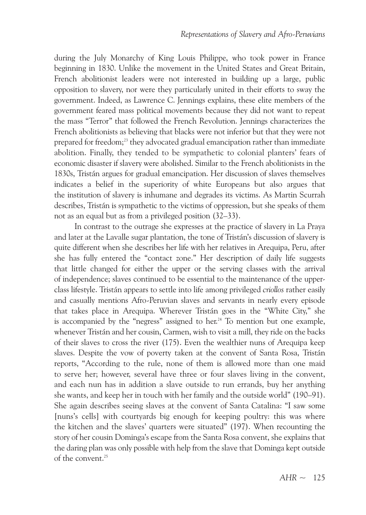during the July Monarchy of king Louis Philippe, who took power in France beginning in 1830. Unlike the movement in the United States and Great Britain, French abolitionist leaders were not interested in building up a large, public opposition to slavery, nor were they particularly united in their efforts to sway the government. Indeed, as Lawrence C. Jennings explains, these elite members of the government feared mass political movements because they did not want to repeat the mass "Terror" that followed the French revolution. Jennings characterizes the French abolitionists as believing that blacks were not inferior but that they were not prepared for freedom; <sup>23</sup> they advocated gradual emancipation rather than immediate abolition. Finally, they tended to be sympathetic to colonial planters' fears of economic disaster if slavery were abolished. Similar to the French abolitionists in the 1830s, Tristán argues for gradual emancipation. Her discussion of slaves themselves indicates a belief in the superiority of white Europeans but also argues that the institution of slavery is inhumane and degrades its victims. As Martin Scurrah describes, Tristán is sympathetic to the victims of oppression, but she speaks of them not as an equal but as from a privileged position (32–33).

In contrast to the outrage she expresses at the practice of slavery in La Praya and later at the Lavalle sugar plantation, the tone of Tristán's discussion of slavery is quite different when she describes her life with her relatives in Arequipa, Peru, after she has fully entered the "contact zone." Her description of daily life suggests that little changed for either the upper or the serving classes with the arrival of independence; slaves continued to be essential to the maintenance of the upperclass lifestyle. Tristán appears to settle into life among privileged *criollos* rather easily and casually mentions Afro-Peruvian slaves and servants in nearly every episode that takes place in Arequipa. Wherever Tristán goes in the "White City," she is accompanied by the "negress" assigned to her. <sup>24</sup> To mention but one example, whenever Tristán and her cousin, Carmen, wish to visit a mill, they ride on the backs of their slaves to cross the river (175). Even the wealthier nuns of Arequipa keep slaves. Despite the vow of poverty taken at the convent of Santa Rosa, Tristán reports, "According to the rule, none of them is allowed more than one maid to serve her; however, several have three or four slaves living in the convent, and each nun has in addition a slave outside to run errands, buy her anything she wants, and keep her in touch with her family and the outside world" (190–91). She again describes seeing slaves at the convent of Santa Catalina: "I saw some [nuns's cells] with courtyards big enough for keeping poultry: this was where the kitchen and the slaves' quarters were situated" (197). When recounting the story of her cousin Dominga's escape from the Santa Rosa convent, she explains that the daring plan was only possible with help from the slave that Dominga kept outside of the convent. 25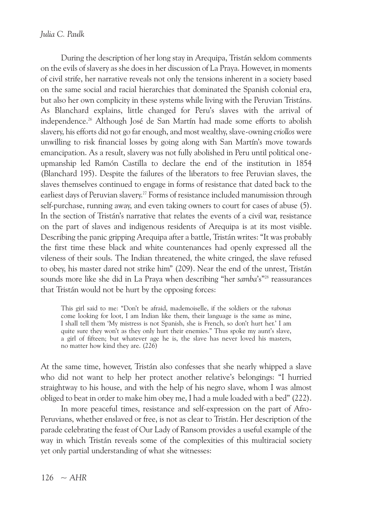During the description of her long stay in Arequipa, Tristán seldom comments on the evils of slavery as she does in her discussion of La Praya. However, in moments of civil strife, her narrative reveals not only the tensions inherent in a society based on the same social and racial hierarchies that dominated the Spanish colonial era, but also her own complicity in these systems while living with the Peruvian Tristáns. As Blanchard explains, little changed for Peru's slaves with the arrival of independence. <sup>26</sup> Although José de San Martín had made some efforts to abolish slavery, his efforts did not go far enough, and most wealthy, slave-owning *criollos* were unwilling to risk financial losses by going along with San Martín's move towards emancipation. As a result, slavery was not fully abolished in Peru until political oneupmanship led Ramón Castilla to declare the end of the institution in 1854 (Blanchard 195). Despite the failures of the liberators to free Peruvian slaves, the slaves themselves continued to engage in forms of resistance that dated back to the earliest days of Peruvian slavery. <sup>27</sup> Forms of resistance included manumission through self-purchase, running away, and even taking owners to court for cases of abuse (5). In the section of Tristán's narrative that relates the events of a civil war, resistance on the part of slaves and indigenous residents of Arequipa is at its most visible. Describing the panic gripping Arequipa after a battle, Tristán writes: "It was probably the first time these black and white countenances had openly expressed all the vileness of their souls. The Indian threatened, the white cringed, the slave refused to obey, his master dared not strike him" (209). Near the end of the unrest, Tristán sounds more like she did in La Praya when describing "her *samba*'s"<sup>28</sup> reassurances that Tristán would not be hurt by the opposing forces:

This girl said to me: "Don't be afraid, mademoiselle, if the soldiers or the *rabonas* come looking for loot, I am Indian like them, their language is the same as mine, I shall tell them 'My mistress is not Spanish, she is French, so don't hurt her.' I am quite sure they won't as they only hurt their enemies." Thus spoke my aunt's slave, a girl of fifteen; but whatever age he is, the slave has never loved his masters, no matter how kind they are. (226)

At the same time, however, Tristán also confesses that she nearly whipped a slave who did not want to help her protect another relative's belongings: "I hurried straightway to his house, and with the help of his negro slave, whom I was almost obliged to beat in order to make him obey me, I had a mule loaded with a bed" (222).

In more peaceful times, resistance and self-expression on the part of Afro-Peruvians, whether enslaved or free, is not as clear to Tristán. Her description of the parade celebrating the feast of Our Lady of Ransom provides a useful example of the way in which Tristán reveals some of the complexities of this multiracial society yet only partial understanding of what she witnesses: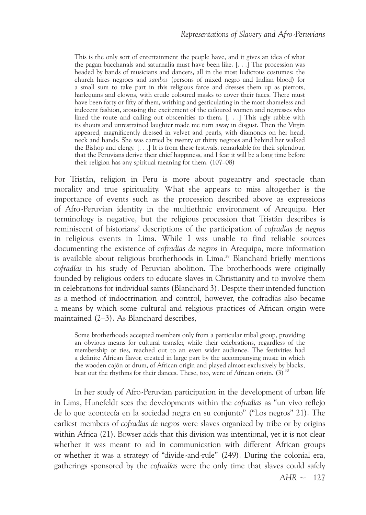This is the only sort of entertainment the people have, and it gives an idea of what the pagan bacchanals and saturnalia must have been like. [. . .] The procession was headed by bands of musicians and dancers, all in the most ludicrous costumes: the church hires negroes and *sambos* (persons of mixed negro and Indian blood) for a small sum to take part in this religious farce and dresses them up as pierrots, harlequins and clowns, with crude coloured masks to cover their faces. There must have been forty or fifty of them, writhing and gesticulating in the most shameless and indecent fashion, arousing the excitement of the coloured women and negresses who lined the route and calling out obscenities to them. [. . .] This ugly rabble with its shouts and unrestrained laughter made me turn away in disgust. Then the Virgin appeared, magnificently dressed in velvet and pearls, with diamonds on her head, neck and hands. She was carried by twenty or thirty negroes and behind her walked the Bishop and clergy. [. . .] It is from these festivals, remarkable for their splendour, that the Peruvians derive their chief happiness, and I fear it will be a long time before their religion has any spiritual meaning for them. (107–08)

For Tristán, religion in Peru is more about pageantry and spectacle than morality and true spirituality. What she appears to miss altogether is the importance of events such as the procession described above as expressions of Afro-Peruvian identity in the multiethnic environment of Arequipa. Her terminology is negative, but the religious procession that Tristán describes is reminiscent of historians' descriptions of the participation of *cofradías de negros* in religious events in Lima. While I was unable to find reliable sources documenting the existence of *cofradías de negros* in Arequipa, more information is available about religious brotherhoods in Lima. <sup>29</sup> Blanchard briefly mentions *cofradías* in his study of Peruvian abolition. The brotherhoods were originally founded by religious orders to educate slaves in Christianity and to involve them in celebrations for individual saints (Blanchard 3). Despite their intended function as a method of indoctrination and control, however, the cofradías also became a means by which some cultural and religious practices of African origin were maintained (2–3). As Blanchard describes,

Some brotherhoods accepted members only from a particular tribal group, providing an obvious means for cultural transfer, while their celebrations, regardless of the membership or ties, reached out to an even wider audience. The festivities had a definite African flavor, created in large part by the accompanying music in which the wooden cajón or drum, of African origin and played almost exclusively by blacks, beat out the rhythms for their dances. These, too, were of African origin. (3)  $^{30}$ 

 $AHR \sim 127$ In her study of Afro-Peruvian participation in the development of urban life in Lima, Hunefeldt sees the developments within the *cofradías* as "un vivo reflejo de lo que acontecía en la sociedad negra en su conjunto" ("Los negros" 21). The earliest members of *cofradías de negros* were slaves organized by tribe or by origins within Africa (21). Bowser adds that this division was intentional, yet it is not clear whether it was meant to aid in communication with different African groups or whether it was a strategy of "divide-and-rule" (249). During the colonial era, gatherings sponsored by the *cofradías* were the only time that slaves could safely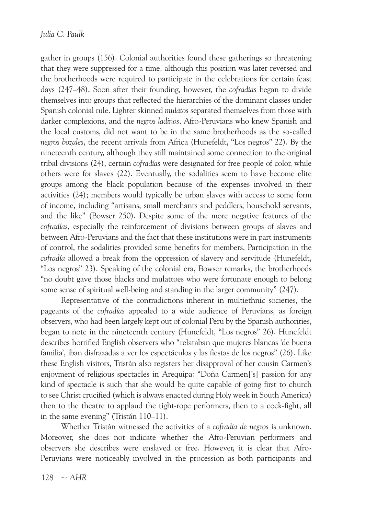gather in groups (156). Colonial authorities found these gatherings so threatening that they were suppressed for a time, although this position was later reversed and the brotherhoods were required to participate in the celebrations for certain feast days (247–48). Soon after their founding, however, the *cofradías* began to divide themselves into groups that reflected the hierarchies of the dominant classes under Spanish colonial rule. Lighter skinned *mulatos* separated themselves from those with darker complexions, and the *negros ladinos*, Afro-Peruvians who knew Spanish and the local customs, did not want to be in the same brotherhoods as the so-called *negros bozales*, the recent arrivals from Africa (Hunefeldt, "Los negros" 22). By the nineteenth century, although they still maintained some connection to the original tribal divisions (24), certain *cofradías* were designated for free people of color, while others were for slaves (22). Eventually, the sodalities seem to have become elite groups among the black population because of the expenses involved in their activities (24); members would typically be urban slaves with access to some form of income, including "artisans, small merchants and peddlers, household servants, and the like" (Bowser 250). Despite some of the more negative features of the *cofradías*, especially the reinforcement of divisions between groups of slaves and between Afro-Peruvians and the fact that these institutions were in part instruments of control, the sodalities provided some benefits for members. Participation in the *cofradía* allowed a break from the oppression of slavery and servitude (Hunefeldt, "Los negros" 23). Speaking of the colonial era, Bowser remarks, the brotherhoods "no doubt gave those blacks and mulattoes who were fortunate enough to belong some sense of spiritual well-being and standing in the larger community" (247).

Representative of the contradictions inherent in multiethnic societies, the pageants of the *cofradías* appealed to a wide audience of Peruvians, as foreign observers, who had been largely kept out of colonial Peru by the Spanish authorities, began to note in the nineteenth century (Hunefeldt, "Los negros" 26). Hunefeldt describes horrified English observers who "relataban que mujeres blancas 'de buena familia', iban disfrazadas a ver los espectáculos y las fiestas de los negros" (26). Like these English visitors, Tristán also registers her disapproval of her cousin Carmen's enjoyment of religious spectacles in Arequipa: "Doña Carmen['s] passion for any kind of spectacle is such that she would be quite capable of going first to church to see Christ crucified (which is always enacted during Holy week in South America) then to the theatre to applaud the tight-rope performers, then to a cock-fight, all in the same evening" (Tristán 110–11).

Whether Tristán witnessed the activities of a *cofradía de negros* is unknown. Moreover, she does not indicate whether the Afro-Peruvian performers and observers she describes were enslaved or free. However, it is clear that Afro-Peruvians were noticeably involved in the procession as both participants and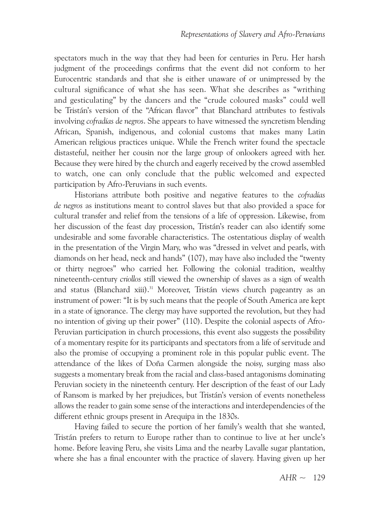spectators much in the way that they had been for centuries in Peru. Her harsh judgment of the proceedings confirms that the event did not conform to her Eurocentric standards and that she is either unaware of or unimpressed by the cultural significance of what she has seen. What she describes as "writhing and gesticulating" by the dancers and the "crude coloured masks" could well be Tristán's version of the "African flavor" that Blanchard attributes to festivals involving *cofradías de negros*. She appears to have witnessed the syncretism blending African, Spanish, indigenous, and colonial customs that makes many Latin American religious practices unique. While the French writer found the spectacle distasteful, neither her cousin nor the large group of onlookers agreed with her. Because they were hired by the church and eagerly received by the crowd assembled to watch, one can only conclude that the public welcomed and expected participation by Afro-Peruvians in such events.

Historians attribute both positive and negative features to the *cofradías de negros* as institutions meant to control slaves but that also provided a space for cultural transfer and relief from the tensions of a life of oppression. Likewise, from her discussion of the feast day procession, Tristán's reader can also identify some undesirable and some favorable characteristics. The ostentatious display of wealth in the presentation of the Virgin Mary, who was "dressed in velvet and pearls, with diamonds on her head, neck and hands" (107), may have also included the "twenty or thirty negroes" who carried her. Following the colonial tradition, wealthy nineteenth-century *criollos* still viewed the ownership of slaves as a sign of wealth and status (Blanchard xiii). <sup>31</sup> Moreover, Tristán views church pageantry as an instrument of power: "It is by such means that the people of South America are kept in a state of ignorance. The clergy may have supported the revolution, but they had no intention of giving up their power" (110). Despite the colonial aspects of Afro-Peruvian participation in church processions, this event also suggests the possibility of a momentary respite for its participants and spectators from a life of servitude and also the promise of occupying a prominent role in this popular public event. The attendance of the likes of Doña Carmen alongside the noisy, surging mass also suggests a momentary break from the racial and class-based antagonisms dominating Peruvian society in the nineteenth century. Her description of the feast of our Lady of Ransom is marked by her prejudices, but Tristán's version of events nonetheless allows the reader to gain some sense of the interactions and interdependencies of the different ethnic groups present in Arequipa in the 1830s.

Having failed to secure the portion of her family's wealth that she wanted, Tristán prefers to return to Europe rather than to continue to live at her uncle's home. Before leaving Peru, she visits Lima and the nearby Lavalle sugar plantation, where she has a final encounter with the practice of slavery. Having given up her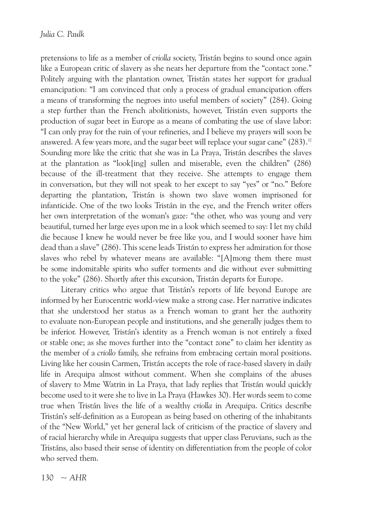pretensions to life as a member of *criolla* society, Tristán begins to sound once again like a European critic of slavery as she nears her departure from the "contact zone." Politely arguing with the plantation owner, Tristán states her support for gradual emancipation: "I am convinced that only a process of gradual emancipation offers a means of transforming the negroes into useful members of society" (284). Going a step further than the French abolitionists, however, Tristán even supports the production of sugar beet in Europe as a means of combating the use of slave labor: "I can only pray for the ruin of your refineries, and I believe my prayers will soon be answered. A few years more, and the sugar beet will replace your sugar cane" (283).<sup>32</sup> Sounding more like the critic that she was in La Praya, Tristán describes the slaves at the plantation as "look[ing] sullen and miserable, even the children" (286) because of the ill-treatment that they receive. She attempts to engage them in conversation, but they will not speak to her except to say "yes" or "no." Before departing the plantation, Tristán is shown two slave women imprisoned for infanticide. One of the two looks Tristán in the eye, and the French writer offers her own interpretation of the woman's gaze: "the other, who was young and very beautiful, turned her large eyes upon me in a look which seemed to say: I let my child die because I knew he would never be free like you, and I would sooner have him dead than a slave" (286). This scene leads Tristán to express her admiration for those slaves who rebel by whatever means are available: "[A]mong them there must be some indomitable spirits who suffer torments and die without ever submitting to the yoke" (286). Shortly after this excursion, Tristán departs for Europe.

Literary critics who argue that Tristán's reports of life beyond Europe are informed by her Eurocentric world-view make a strong case. Her narrative indicates that she understood her status as a French woman to grant her the authority to evaluate non-European people and institutions, and she generally judges them to be inferior. However, Tristán's identity as a French woman is not entirely a fixed or stable one; as she moves further into the "contact zone" to claim her identity as the member of a *criollo* family, she refrains from embracing certain moral positions. Living like her cousin Carmen, Tristán accepts the role of race-based slavery in daily life in Arequipa almost without comment. When she complains of the abuses of slavery to Mme Watrin in La Praya, that lady replies that Tristán would quickly become used to it were she to live in La Praya (Hawkes 30). Her words seem to come true when Tristán lives the life of a wealthy *criolla* in Arequipa. Critics describe Tristán's self-definition as a European as being based on othering of the inhabitants of the "New World," yet her general lack of criticism of the practice of slavery and of racial hierarchy while in Arequipa suggests that upper class Peruvians, such as the Tristáns, also based their sense of identity on differentiation from the people of color who served them.

 $130 - AHR$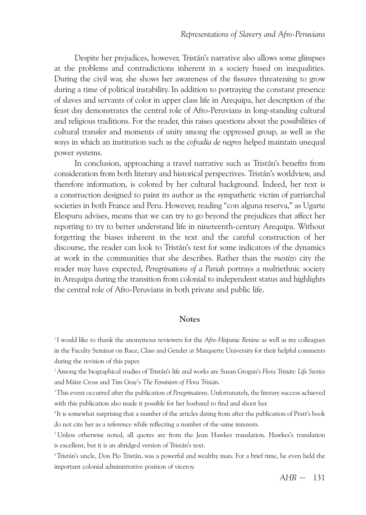Despite her prejudices, however, Tristán's narrative also allows some glimpses at the problems and contradictions inherent in a society based on inequalities. During the civil war, she shows her awareness of the fissures threatening to grow during a time of political instability. In addition to portraying the constant presence of slaves and servants of color in upper class life in Arequipa, her description of the feast day demonstrates the central role of Afro-Peruvians in long-standing cultural and religious traditions. For the reader, this raises questions about the possibilities of cultural transfer and moments of unity among the oppressed group, as well as the ways in which an institution such as the *cofradía de negros* helped maintain unequal power systems.

In conclusion, approaching a travel narrative such as Tristán's benefits from consideration from both literary and historical perspectives. Tristán's worldview, and therefore information, is colored by her cultural background. Indeed, her text is a construction designed to paint its author as the sympathetic victim of patriarchal societies in both France and Peru. However, reading "con alguna reserva," as Ugarte Elespuru advises, means that we can try to go beyond the prejudices that affect her reporting to try to better understand life in nineteenth-century Arequipa. Without forgetting the biases inherent in the text and the careful construction of her discourse, the reader can look to Tristán's text for some indicators of the dynamics at work in the communities that she describes. rather than the *mestizo* city the reader may have expected, *Peregrinations of a Pariah* portrays a multiethnic society in Arequipa during the transition from colonial to independent status and highlights the central role of Afro-Peruvians in both private and public life.

#### **Notes**

<sup>1</sup> I would like to thank the anonymous reviewers for the *Afro-Hispanic Review* as well as my colleagues in the Faculty Seminar on Race, Class and Gender at Marquette University for their helpful comments during the revision of this paper.

2 Among the biographical studies of Tristán's life and works are Susan Grogan's *Flora Tristán: Life Stories* and Máire Cross and Tim Gray's *The Feminism of Flora Tristán*.

<sup>3</sup>This event occurred after the publication of *Peregrinations*. Unfortunately, the literary success achieved with this publication also made it possible for her husband to find and shoot her.

4 It is somewhat surprising that a number of the articles dating from after the publication of Pratt's book do not cite her as a reference while reflecting a number of the same interests.

<sup>5</sup> Unless otherwise noted, all quotes are from the Jean Hawkes translation. Hawkes's translation is excellent, but it is an abridged version of Tristán's text.

6Tristán's uncle, Don Pío Tristán, was a powerful and wealthy man. For a brief time, he even held the important colonial administrative position of viceroy.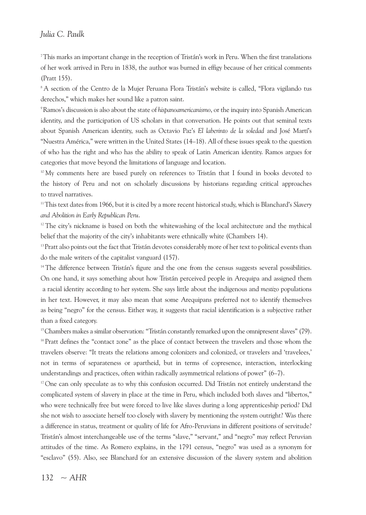#### *Julia C. Paulk*

7 This marks an important change in the reception of Tristán's work in Peru. When the first translations of her work arrived in Peru in 1838, the author was burned in effigy because of her critical comments (Pratt 155).

<sup>8</sup> A section of the Centro de la Mujer Peruana Flora Tristán's website is called, "Flora vigilando tus derechos," which makes her sound like a patron saint.

9 ramos's discussion is also about the state of *hispanoamericanismo*, or the inquiry into Spanish American identity, and the participation of US scholars in that conversation. He points out that seminal texts about Spanish American identity, such as Octavio Paz's *El laberinto de la soledad* and José Martí's "Nuestra América," were written in the United States (14–18). All of these issues speak to the question of who has the right and who has the ability to speak of Latin American identity. Ramos argues for categories that move beyond the limitations of language and location.

<sup>10</sup> My comments here are based purely on references to Tristán that I found in books devoted to the history of Peru and not on scholarly discussions by historians regarding critical approaches to travel narratives.

11 This text dates from 1966, but it is cited by a more recent historical study, which is Blanchard's *Slavery and Abolition in Early Republican Peru*.

<sup>12</sup>The city's nickname is based on both the whitewashing of the local architecture and the mythical belief that the majority of the city's inhabitants were ethnically white (Chambers 14).

<sup>13</sup> Pratt also points out the fact that Tristán devotes considerably more of her text to political events than do the male writers of the capitalist vanguard (157).

<sup>14</sup> The difference between Tristán's figure and the one from the census suggests several possibilities. On one hand, it says something about how Tristán perceived people in Arequipa and assigned them a racial identity according to her system. She says little about the indigenous and *mestizo* populations in her text. However, it may also mean that some Arequipans preferred not to identify themselves as being "negro" for the census. Either way, it suggests that racial identification is a subjective rather than a fixed category.

<sup>15</sup> Chambers makes a similar observation: "Tristán constantly remarked upon the omnipresent slaves" (79). <sup>16</sup> Pratt defines the "contact zone" as the place of contact between the travelers and those whom the travelers observe: "It treats the relations among colonizers and colonized, or travelers and 'travelees,' not in terms of separateness or apartheid, but in terms of copresence, interaction, interlocking understandings and practices, often within radically asymmetrical relations of power" (6–7).

 $17$  One can only speculate as to why this confusion occurred. Did Tristán not entirely understand the complicated system of slavery in place at the time in Peru, which included both slaves and "libertos," who were technically free but were forced to live like slaves during a long apprenticeship period? Did she not wish to associate herself too closely with slavery by mentioning the system outright? Was there a difference in status, treatment or quality of life for Afro-Peruvians in different positions of servitude? Tristán's almost interchangeable use of the terms "slave," "servant," and "negro" may reflect Peruvian attitudes of the time. As Romero explains, in the 1791 census, "negro" was used as a synonym for "esclavo" (55). Also, see Blanchard for an extensive discussion of the slavery system and abolition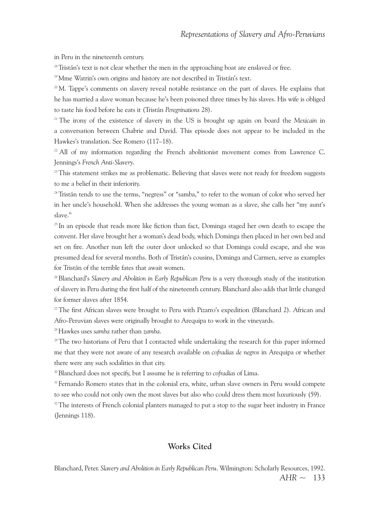in Peru in the nineteenth century.

<sup>18</sup> Tristán's text is not clear whether the men in the approaching boat are enslaved or free.

<sup>19</sup> Mme Watrin's own origins and history are not described in Tristán's text.

 $2<sup>20</sup>$ M. Tappe's comments on slavery reveal notable resistance on the part of slaves. He explains that he has married a slave woman because he's been poisoned three times by his slaves. His wife is obliged to taste his food before he eats it (Tristán *Peregrinations* 28).

<sup>21</sup> The irony of the existence of slavery in the US is brought up again on board the *Mexicain* in a conversation between Chabrie and David. This episode does not appear to be included in the Hawkes's translation. See Romero (117-18).

 $^{22}$  All of my information regarding the French abolitionist movement comes from Lawrence C. Jennings's *French Anti-Slavery*.

 $^{23}$ This statement strikes me as problematic. Believing that slaves were not ready for freedom suggests to me a belief in their inferiority.

<sup>24</sup> Tristán tends to use the terms, "negress" or "samba," to refer to the woman of color who served her in her uncle's household. When she addresses the young woman as a slave, she calls her "my aunt's slave."

<sup>25</sup> In an episode that reads more like fiction than fact, Dominga staged her own death to escape the convent. Her slave brought her a woman's dead body, which Dominga then placed in her own bed and set on fire. Another nun left the outer door unlocked so that Dominga could escape, and she was presumed dead for several months. Both of Tristán's cousins, Dominga and Carmen, serve as examples for Tristán of the terrible fates that await women.

26Blanchard's *Slavery and Abolition in Early Republican Peru* is a very thorough study of the institution of slavery in Peru during the first half of the nineteenth century. Blanchard also adds that little changed for former slaves after 1854.

<sup>27</sup>The first African slaves were brought to Peru with Pizarro's expedition (Blanchard 2). African and Afro-Peruvian slaves were originally brought to Arequipa to work in the vineyards.

28 Hawkes uses *samba* rather than *zamba*.

<sup>29</sup>The two historians of Peru that I contacted while undertaking the research for this paper informed me that they were not aware of any research available on *cofradías de negros* in Arequipa or whether there were any such sodalities in that city.

30 Blanchard does not specify, but I assume he is referring to *cofradías* of Lima.

<sup>31</sup> Fernando Romero states that in the colonial era, white, urban slave owners in Peru would compete to see who could not only own the most slaves but also who could dress them most luxuriously (59).

<sup>32</sup>The interests of French colonial planters managed to put a stop to the sugar beet industry in France (Jennings 118).

#### **Works Cited**

*AHR* ~ 133 Blanchard, Peter. *Slavery and Abolition in Early Republican Peru*. Wilmington: Scholarly resources, 1992.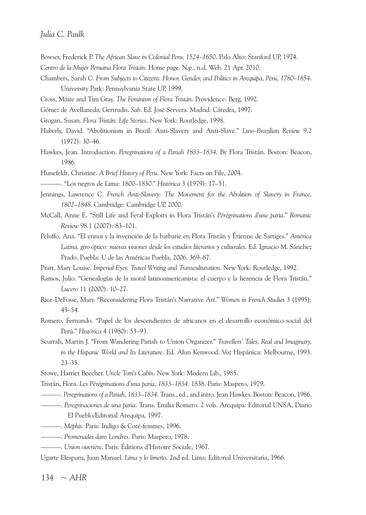#### *Julia C. Paulk*

- Bowser, Frederick P. *The African Slave in Colonial Peru, 1524–1650*. Palo Alto: Stanford uP, 1974.
- *Centro de la Mujer Peruana Flora Tristán*. Home page. N.p., n.d. Web. 21 Apr. 2010.
- Chambers, Sarah C. *From Subjects to Citizens: Honor, Gender, and Politics in Arequipa, Peru, 1780–1854*. University Park: Pennsylvania State UP, 1999.
- Cross, Máire and Tim Gray. *The Feminism of Flora Tristán*. Providence: Berg, 1992.
- Gómez de Avellaneda, Gertrudis. *Sab*. Ed. José Servera. Madrid: Cátedra, 1997.
- Grogan, Susan. *Flora Tristán: Life Stories*. New York: Routledge, 1998.
- Haberly, David. "Abolitionism in Brazil: Anti-Slavery and Anti-Slave." *Luso-Brazilian Review* 9.2 (1972): 30–46.
- Hawkes, Jean. Introduction. *Peregrinations of a Pariah 1833–1834*. By Flora Tristán. Boston: Beacon, 1986.
- Hunefeldt, Christine. *A Brief History of Peru*. New york: Facts on File, 2004.
- ———. "Los negros de Lima: 1800–1830." *Histórica* 3 (1979): 17–51.
- Jennings, Lawrence C. *French Anti-Slavery: The Movement for the Abolition of Slavery in France,* 1802–1848. Cambridge: Cambridge UP, 2000.
- McCall, Anne E. "Still Life and Fetal Exploits in Flora Tristán's *Pérégrinations d'une paria*." *Romanic Review* 98.1 (2007): 83–101.
- Peluffo, Ana. "El ennui y la invención de la barbarie en Flora Tristán y Étienne de Sartiges." *América Latina, giro óptico: nuevas visiones desde los estudios literarios y culturales*. Ed. Ignacio M. Sánchez Prado. Puebla: U de las Américas Puebla, 2006. 369-87.
- Pratt, Mary Louise. *Imperial Eyes: Travel Writing and Transculturation*. New york: routledge, 1992.
- Ramos, Julio. "Genealogías de la moral latinoamericanista: el cuerpo y la herencia de Flora Tristán." *Lucero* 11 (2000): 10–27.
- rice-DeFosse, Mary. "reconsidering Flora Tristán's Narrative Art." *Women in French Studies* 3 (1995): 45–54.
- Romero, Fernando. "Papel de los descendientes de africanos en el desarrollo económico-social del Perú." *Histórica* 4 (1980): 53–93.
- Scurrah, Martin J. "From Wandering Pariah to union Organizer." *Travellers' Tales, Real and Imaginary, in the Hispanic World and Its Literature*. Ed. Alun kenwood. Voz Hispánica: Melbourne, 1993. 23–35.
- Stowe, Harriet Beecher. *Uncle Tom's Cabin*. New york: Modern Lib., 1985.
- Tristán, Flora. *Les Pérégrinations d'una paria, 1833–1834*. 1838. Paris: Maspero, 1979.
	- ———. *Peregrinations of a Pariah, 1833–1834*. Trans., ed., and intro. Jean Hawkes. Boston: Beacon, 1986.
	- ———. *Peregrinaciones de una paria*. Trans. Emilia romero. 2 vols. Arequipa: Editorial uNSA, Diario El Pueblo/Editorial Arequipa, 1997.
- ———. *Méphis*. Paris: Indigo & Coté-femmes, 1996.
- ———. *Promenades dans Londres*. Paris: Maspero, 1978.
- ———. *Union ouvrière*. Paris: Éditions d'Histoire Sociale, 1967.
- Ugarte Elespuru, Juan Manuel. *Lima* y lo limeño. 2nd ed. Lima: Editorial Universitaria, 1966.

 $134 - AHR$